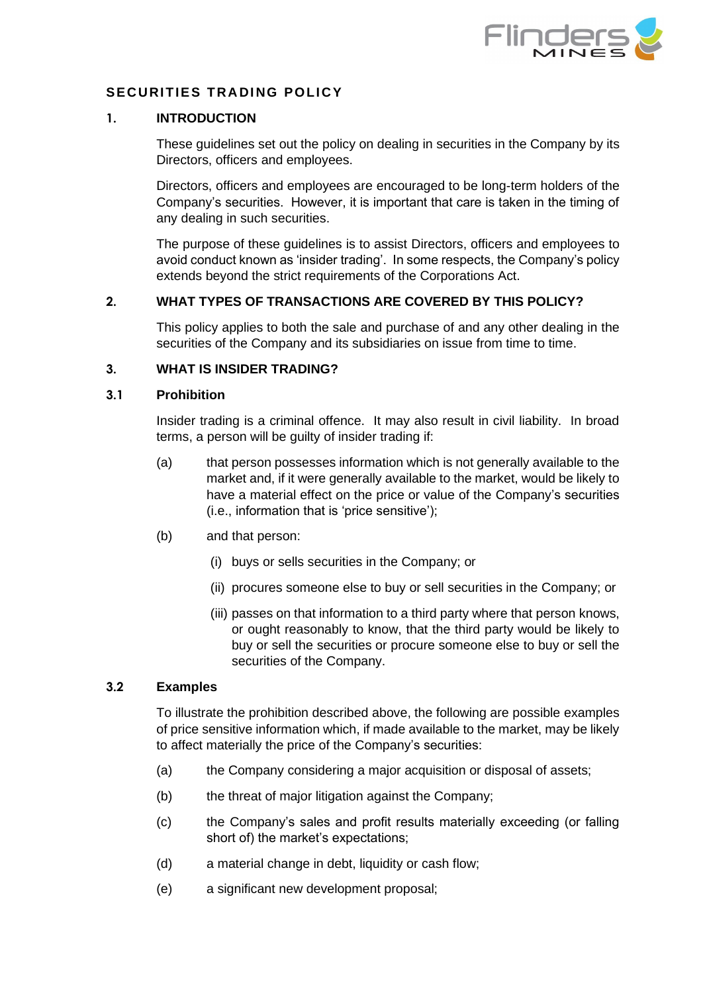

# **SECURITIES TRADING POLICY**

#### **1. INTRODUCTION**

These guidelines set out the policy on dealing in securities in the Company by its Directors, officers and employees.

Directors, officers and employees are encouraged to be long-term holders of the Company's securities. However, it is important that care is taken in the timing of any dealing in such securities.

The purpose of these guidelines is to assist Directors, officers and employees to avoid conduct known as 'insider trading'. In some respects, the Company's policy extends beyond the strict requirements of the Corporations Act.

## **2. WHAT TYPES OF TRANSACTIONS ARE COVERED BY THIS POLICY?**

This policy applies to both the sale and purchase of and any other dealing in the securities of the Company and its subsidiaries on issue from time to time.

## **3. WHAT IS INSIDER TRADING?**

#### **3.1 Prohibition**

Insider trading is a criminal offence. It may also result in civil liability. In broad terms, a person will be guilty of insider trading if:

- (a) that person possesses information which is not generally available to the market and, if it were generally available to the market, would be likely to have a material effect on the price or value of the Company's securities (i.e., information that is 'price sensitive');
- (b) and that person:
	- (i) buys or sells securities in the Company; or
	- (ii) procures someone else to buy or sell securities in the Company; or
	- (iii) passes on that information to a third party where that person knows, or ought reasonably to know, that the third party would be likely to buy or sell the securities or procure someone else to buy or sell the securities of the Company.

#### **3.2 Examples**

To illustrate the prohibition described above, the following are possible examples of price sensitive information which, if made available to the market, may be likely to affect materially the price of the Company's securities:

- (a) the Company considering a major acquisition or disposal of assets;
- (b) the threat of major litigation against the Company;
- (c) the Company's sales and profit results materially exceeding (or falling short of) the market's expectations;
- (d) a material change in debt, liquidity or cash flow;
- (e) a significant new development proposal;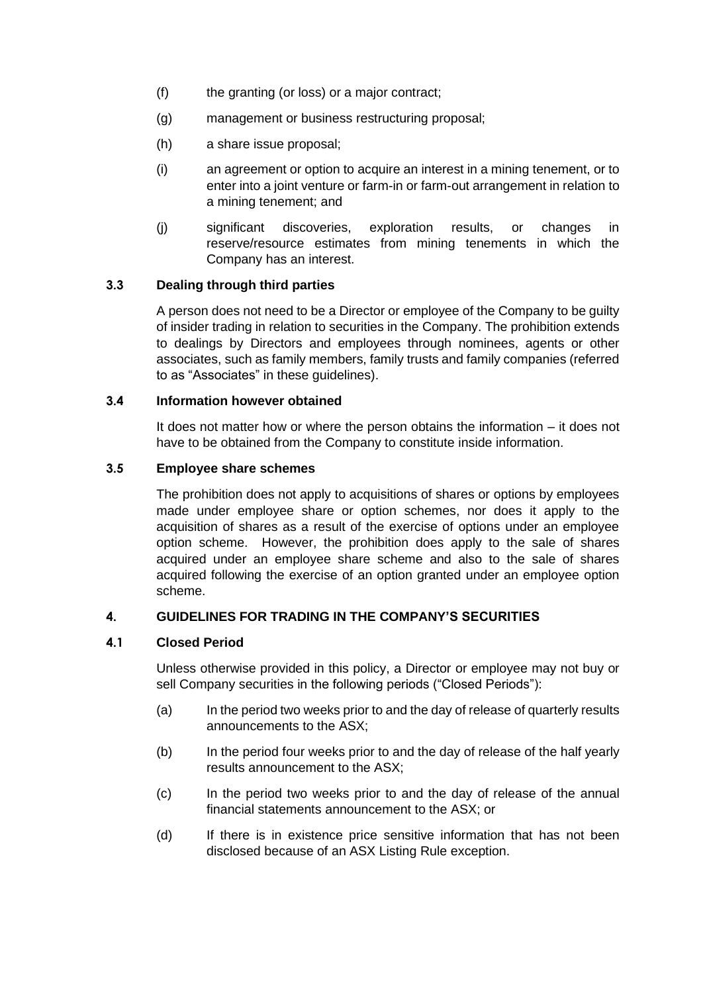- (f) the granting (or loss) or a major contract;
- (g) management or business restructuring proposal;
- (h) a share issue proposal;
- (i) an agreement or option to acquire an interest in a mining tenement, or to enter into a joint venture or farm-in or farm-out arrangement in relation to a mining tenement; and
- (j) significant discoveries, exploration results, or changes in reserve/resource estimates from mining tenements in which the Company has an interest.

# **3.3 Dealing through third parties**

A person does not need to be a Director or employee of the Company to be guilty of insider trading in relation to securities in the Company. The prohibition extends to dealings by Directors and employees through nominees, agents or other associates, such as family members, family trusts and family companies (referred to as "Associates" in these guidelines).

## **3.4 Information however obtained**

It does not matter how or where the person obtains the information – it does not have to be obtained from the Company to constitute inside information.

## **3.5 Employee share schemes**

The prohibition does not apply to acquisitions of shares or options by employees made under employee share or option schemes, nor does it apply to the acquisition of shares as a result of the exercise of options under an employee option scheme. However, the prohibition does apply to the sale of shares acquired under an employee share scheme and also to the sale of shares acquired following the exercise of an option granted under an employee option scheme.

# **4. GUIDELINES FOR TRADING IN THE COMPANY'S SECURITIES**

## <span id="page-1-0"></span>**4.1 Closed Period**

Unless otherwise provided in this policy, a Director or employee may not buy or sell Company securities in the following periods ("Closed Periods"):

- (a) In the period two weeks prior to and the day of release of quarterly results announcements to the ASX;
- (b) In the period four weeks prior to and the day of release of the half yearly results announcement to the ASX;
- (c) In the period two weeks prior to and the day of release of the annual financial statements announcement to the ASX; or
- (d) If there is in existence price sensitive information that has not been disclosed because of an ASX Listing Rule exception.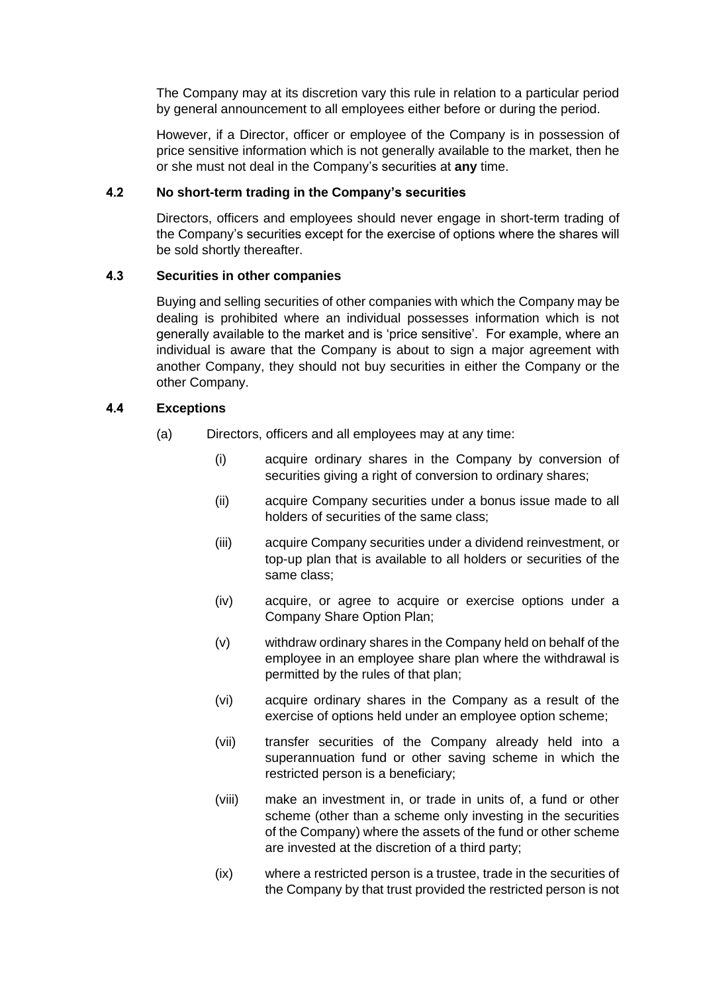The Company may at its discretion vary this rule in relation to a particular period by general announcement to all employees either before or during the period.

However, if a Director, officer or employee of the Company is in possession of price sensitive information which is not generally available to the market, then he or she must not deal in the Company's securities at **any** time.

## **4.2 No short-term trading in the Company's securities**

Directors, officers and employees should never engage in short-term trading of the Company's securities except for the exercise of options where the shares will be sold shortly thereafter.

## **4.3 Securities in other companies**

Buying and selling securities of other companies with which the Company may be dealing is prohibited where an individual possesses information which is not generally available to the market and is 'price sensitive'. For example, where an individual is aware that the Company is about to sign a major agreement with another Company, they should not buy securities in either the Company or the other Company.

# **4.4 Exceptions**

- (a) Directors, officers and all employees may at any time:
	- (i) acquire ordinary shares in the Company by conversion of securities giving a right of conversion to ordinary shares;
	- (ii) acquire Company securities under a bonus issue made to all holders of securities of the same class;
	- (iii) acquire Company securities under a dividend reinvestment, or top-up plan that is available to all holders or securities of the same class;
	- (iv) acquire, or agree to acquire or exercise options under a Company Share Option Plan;
	- (v) withdraw ordinary shares in the Company held on behalf of the employee in an employee share plan where the withdrawal is permitted by the rules of that plan;
	- (vi) acquire ordinary shares in the Company as a result of the exercise of options held under an employee option scheme;
	- (vii) transfer securities of the Company already held into a superannuation fund or other saving scheme in which the restricted person is a beneficiary;
	- (viii) make an investment in, or trade in units of, a fund or other scheme (other than a scheme only investing in the securities of the Company) where the assets of the fund or other scheme are invested at the discretion of a third party;
	- (ix) where a restricted person is a trustee, trade in the securities of the Company by that trust provided the restricted person is not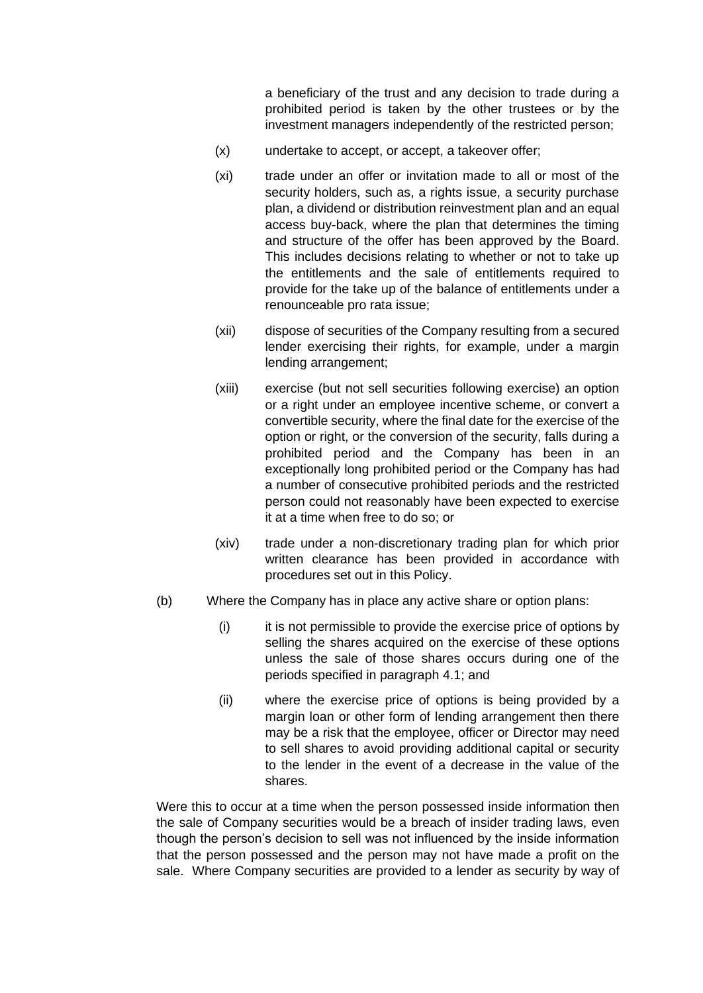a beneficiary of the trust and any decision to trade during a prohibited period is taken by the other trustees or by the investment managers independently of the restricted person;

- (x) undertake to accept, or accept, a takeover offer;
- (xi) trade under an offer or invitation made to all or most of the security holders, such as, a rights issue, a security purchase plan, a dividend or distribution reinvestment plan and an equal access buy-back, where the plan that determines the timing and structure of the offer has been approved by the Board. This includes decisions relating to whether or not to take up the entitlements and the sale of entitlements required to provide for the take up of the balance of entitlements under a renounceable pro rata issue;
- (xii) dispose of securities of the Company resulting from a secured lender exercising their rights, for example, under a margin lending arrangement;
- (xiii) exercise (but not sell securities following exercise) an option or a right under an employee incentive scheme, or convert a convertible security, where the final date for the exercise of the option or right, or the conversion of the security, falls during a prohibited period and the Company has been in an exceptionally long prohibited period or the Company has had a number of consecutive prohibited periods and the restricted person could not reasonably have been expected to exercise it at a time when free to do so; or
- (xiv) trade under a non-discretionary trading plan for which prior written clearance has been provided in accordance with procedures set out in this Policy.
- (b) Where the Company has in place any active share or option plans:
	- (i) it is not permissible to provide the exercise price of options by selling the shares acquired on the exercise of these options unless the sale of those shares occurs during one of the periods specified in paragraph [4.1;](#page-1-0) and
	- (ii) where the exercise price of options is being provided by a margin loan or other form of lending arrangement then there may be a risk that the employee, officer or Director may need to sell shares to avoid providing additional capital or security to the lender in the event of a decrease in the value of the shares.

Were this to occur at a time when the person possessed inside information then the sale of Company securities would be a breach of insider trading laws, even though the person's decision to sell was not influenced by the inside information that the person possessed and the person may not have made a profit on the sale. Where Company securities are provided to a lender as security by way of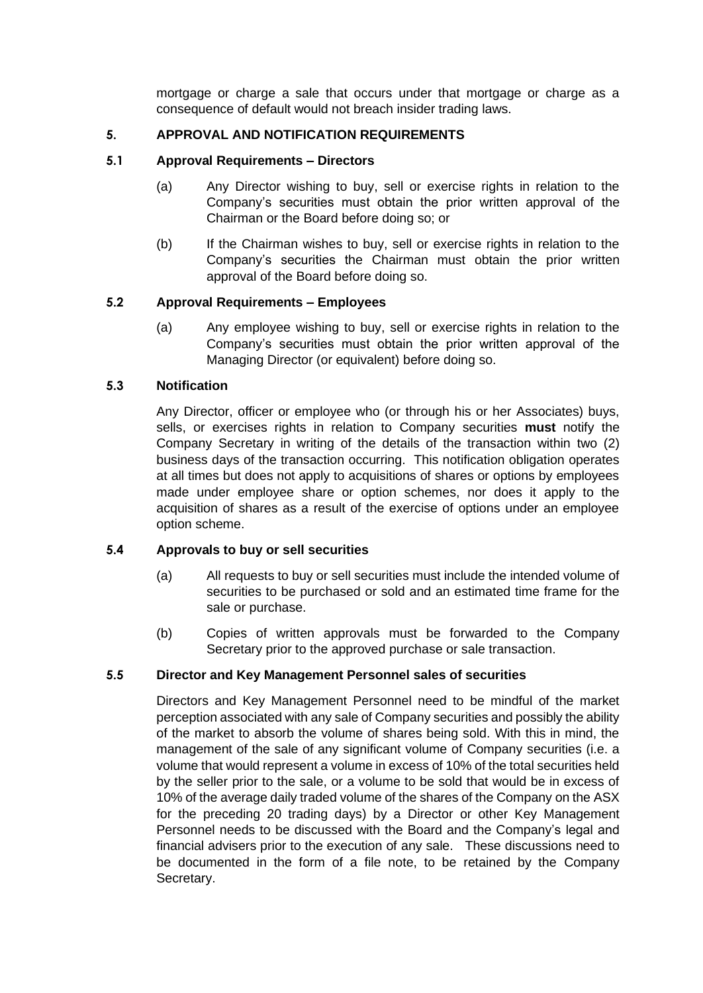mortgage or charge a sale that occurs under that mortgage or charge as a consequence of default would not breach insider trading laws.

## **5. APPROVAL AND NOTIFICATION REQUIREMENTS**

## **5.1 Approval Requirements – Directors**

- (a) Any Director wishing to buy, sell or exercise rights in relation to the Company's securities must obtain the prior written approval of the Chairman or the Board before doing so; or
- (b) If the Chairman wishes to buy, sell or exercise rights in relation to the Company's securities the Chairman must obtain the prior written approval of the Board before doing so.

## **5.2 Approval Requirements – Employees**

(a) Any employee wishing to buy, sell or exercise rights in relation to the Company's securities must obtain the prior written approval of the Managing Director (or equivalent) before doing so.

## **5.3 Notification**

Any Director, officer or employee who (or through his or her Associates) buys, sells, or exercises rights in relation to Company securities **must** notify the Company Secretary in writing of the details of the transaction within two (2) business days of the transaction occurring. This notification obligation operates at all times but does not apply to acquisitions of shares or options by employees made under employee share or option schemes, nor does it apply to the acquisition of shares as a result of the exercise of options under an employee option scheme.

## **5.4 Approvals to buy or sell securities**

- (a) All requests to buy or sell securities must include the intended volume of securities to be purchased or sold and an estimated time frame for the sale or purchase.
- (b) Copies of written approvals must be forwarded to the Company Secretary prior to the approved purchase or sale transaction.

## **5.5 Director and Key Management Personnel sales of securities**

Directors and Key Management Personnel need to be mindful of the market perception associated with any sale of Company securities and possibly the ability of the market to absorb the volume of shares being sold. With this in mind, the management of the sale of any significant volume of Company securities (i.e. a volume that would represent a volume in excess of 10% of the total securities held by the seller prior to the sale, or a volume to be sold that would be in excess of 10% of the average daily traded volume of the shares of the Company on the ASX for the preceding 20 trading days) by a Director or other Key Management Personnel needs to be discussed with the Board and the Company's legal and financial advisers prior to the execution of any sale. These discussions need to be documented in the form of a file note, to be retained by the Company Secretary.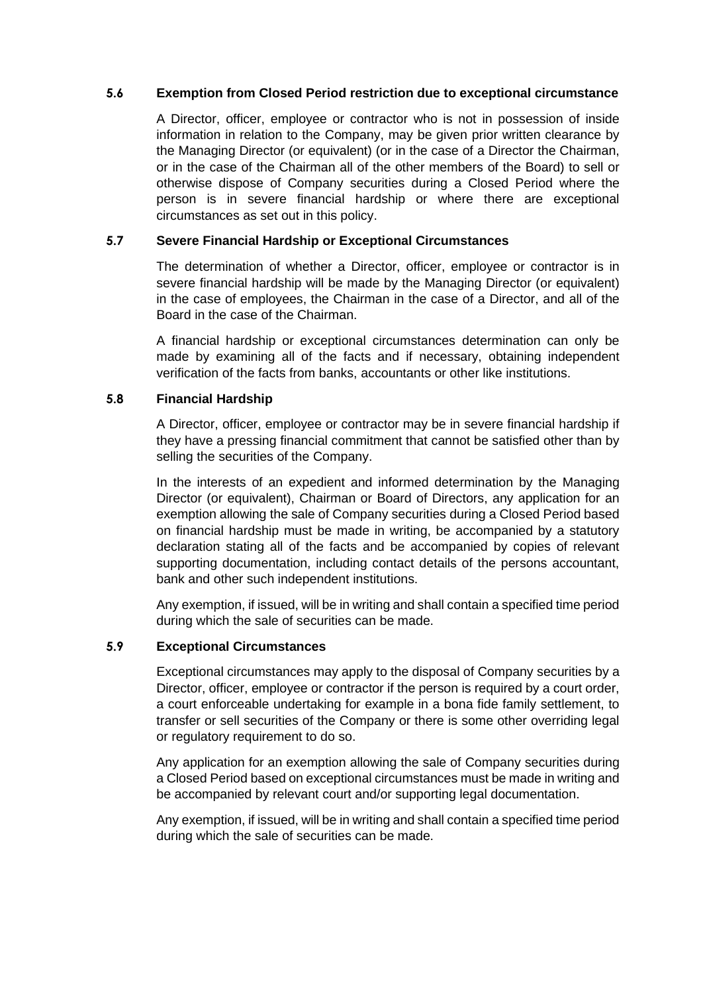## **5.6 Exemption from Closed Period restriction due to exceptional circumstance**

A Director, officer, employee or contractor who is not in possession of inside information in relation to the Company, may be given prior written clearance by the Managing Director (or equivalent) (or in the case of a Director the Chairman, or in the case of the Chairman all of the other members of the Board) to sell or otherwise dispose of Company securities during a Closed Period where the person is in severe financial hardship or where there are exceptional circumstances as set out in this policy.

# **5.7 Severe Financial Hardship or Exceptional Circumstances**

The determination of whether a Director, officer, employee or contractor is in severe financial hardship will be made by the Managing Director (or equivalent) in the case of employees, the Chairman in the case of a Director, and all of the Board in the case of the Chairman.

A financial hardship or exceptional circumstances determination can only be made by examining all of the facts and if necessary, obtaining independent verification of the facts from banks, accountants or other like institutions.

# **5.8 Financial Hardship**

A Director, officer, employee or contractor may be in severe financial hardship if they have a pressing financial commitment that cannot be satisfied other than by selling the securities of the Company.

In the interests of an expedient and informed determination by the Managing Director (or equivalent), Chairman or Board of Directors, any application for an exemption allowing the sale of Company securities during a Closed Period based on financial hardship must be made in writing, be accompanied by a statutory declaration stating all of the facts and be accompanied by copies of relevant supporting documentation, including contact details of the persons accountant, bank and other such independent institutions.

Any exemption, if issued, will be in writing and shall contain a specified time period during which the sale of securities can be made.

## **5.9 Exceptional Circumstances**

Exceptional circumstances may apply to the disposal of Company securities by a Director, officer, employee or contractor if the person is required by a court order, a court enforceable undertaking for example in a bona fide family settlement, to transfer or sell securities of the Company or there is some other overriding legal or regulatory requirement to do so.

Any application for an exemption allowing the sale of Company securities during a Closed Period based on exceptional circumstances must be made in writing and be accompanied by relevant court and/or supporting legal documentation.

Any exemption, if issued, will be in writing and shall contain a specified time period during which the sale of securities can be made.